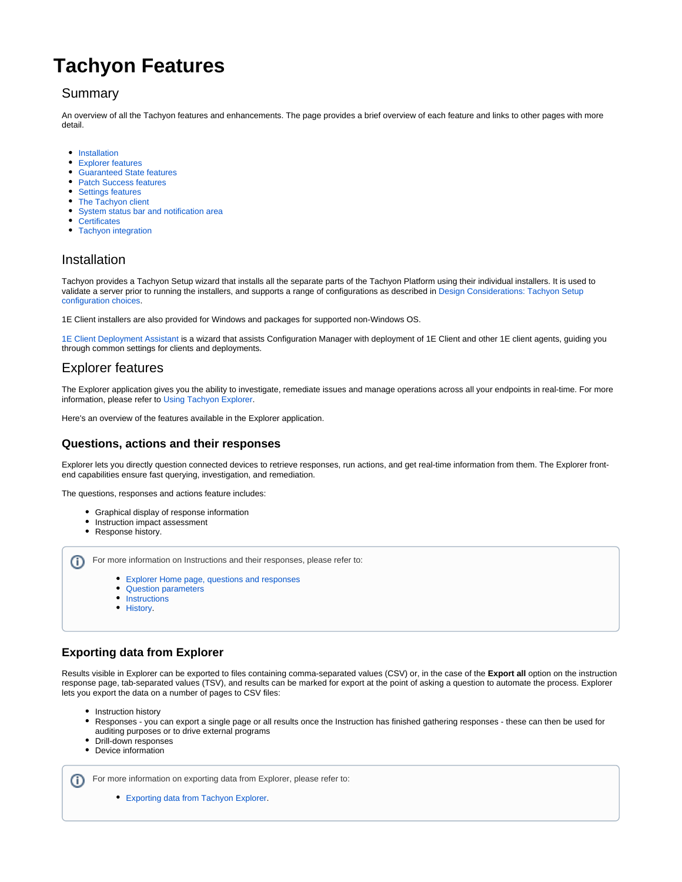# **Tachyon Features**

# Summary

An overview of all the Tachyon features and enhancements. The page provides a brief overview of each feature and links to other pages with more detail.

- $\bullet$ [Installation](#page-0-0)
- [Explorer features](#page-0-1)
- [Guaranteed State features](#page-2-0)
- [Patch Success features](#page-2-1)
- [Settings features](#page-3-0)
- [The Tachyon client](#page-6-0)
- [System status bar and notification area](#page-8-0)
- [Certificates](#page-8-1)
- [Tachyon integration](#page-8-2)

# <span id="page-0-0"></span>Installation

Tachyon provides a Tachyon Setup wizard that installs all the separate parts of the Tachyon Platform using their individual installers. It is used to validate a server prior to running the installers, and supports a range of configurations as described in [Design Considerations: Tachyon Setup](https://help.1e.com/display/XPL52/Design+Considerations#DesignConsiderations-TachyonSetupconfigurationchoices)  [configuration choices.](https://help.1e.com/display/XPL52/Design+Considerations#DesignConsiderations-TachyonSetupconfigurationchoices)

1E Client installers are also provided for Windows and packages for supported non-Windows OS.

[1E Client Deployment Assistant](https://help.1e.com/display/CDA15/Welcome) is a wizard that assists Configuration Manager with deployment of 1E Client and other 1E client agents, guiding you through common settings for clients and deployments.

# <span id="page-0-1"></span>Explorer features

The Explorer application gives you the ability to investigate, remediate issues and manage operations across all your endpoints in real-time. For more information, please refer to [Using Tachyon Explorer.](https://help.1e.com/display/XPL52/Using+Tachyon+Explorer)

Here's an overview of the features available in the Explorer application.

## **Questions, actions and their responses**

Explorer lets you directly question connected devices to retrieve responses, run actions, and get real-time information from them. The Explorer frontend capabilities ensure fast querying, investigation, and remediation.

The questions, responses and actions feature includes:

- Graphical display of response information
	- Instruction impact assessment
- Response history.

For more information on Instructions and their responses, please refer to: ന

- [Explorer Home page, questions and responses](https://help.1e.com/display/XPL52/Explorer+Home+page%2C+questions+and+responses)
- [Question parameters](https://help.1e.com/display/XPL52/Question+parameters)
- [Instructions](https://help.1e.com/display/XPL52/Instructions)
- [History.](https://help.1e.com/display/XPL52/History)

# **Exporting data from Explorer**

Results visible in Explorer can be exported to files containing comma-separated values (CSV) or, in the case of the **Export all** option on the instruction response page, tab-separated values (TSV), and results can be marked for export at the point of asking a question to automate the process. Explorer lets you export the data on a number of pages to CSV files:

- Instruction history
- $\bullet$ Responses - you can export a single page or all results once the Instruction has finished gathering responses - these can then be used for auditing purposes or to drive external programs
- Drill-down responses
- $\bullet$ Device information

ന For more information on exporting data from Explorer, please refer to:

[Exporting data from Tachyon Explorer.](https://help.1e.com/display/XPL52/Exporting+data+from+Tachyon+Explorer)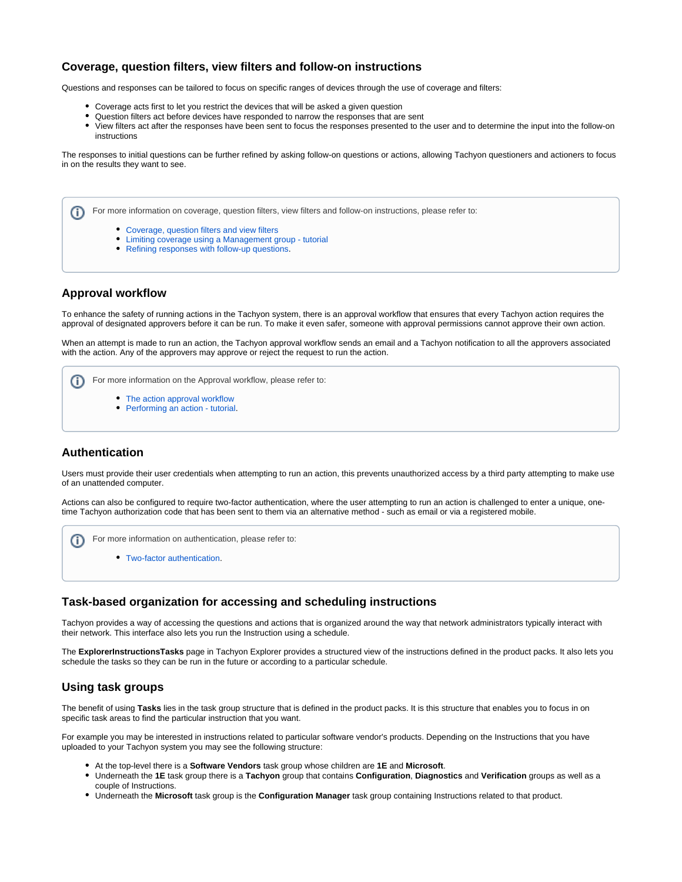

### **Coverage, question filters, view filters and follow-on instructions**

Questions and responses can be tailored to focus on specific ranges of devices through the use of coverage and filters:

- Coverage acts first to let you restrict the devices that will be asked a given question
- Question filters act before devices have responded to narrow the responses that are sent
- View filters act after the responses have been sent to focus the responses presented to the user and to determine the input into the follow-on instructions

The responses to initial questions can be further refined by asking follow-on questions or actions, allowing Tachyon questioners and actioners to focus in on the results they want to see.

For more information on coverage, question filters, view filters and follow-on instructions, please refer to: G)

- [Coverage, question filters and view filters](https://help.1e.com/display/XPL52/Coverage%2C+question+filters+and+view+filters)
- [Limiting coverage using a Management group tutorial](https://help.1e.com/display/XPL52/Limiting+coverage+using+a+Management+group+-+tutorial)
- [Refining responses with follow-up questions](https://help.1e.com/display/XPL52/Refining+responses+with+follow-up+questions).

#### **Approval workflow**

To enhance the safety of running actions in the Tachyon system, there is an approval workflow that ensures that every Tachyon action requires the approval of designated approvers before it can be run. To make it even safer, someone with approval permissions cannot approve their own action.

When an attempt is made to run an action, the Tachyon approval workflow sends an email and a Tachyon notification to all the approvers associated with the action. Any of the approvers may approve or reject the request to run the action.

For more information on the Approval workflow, please refer to: ⋒

- [The action approval workflow](https://help.1e.com/display/XPL52/The+action+approval+workflow)
- [Performing an action tutorial.](https://help.1e.com/display/XPL52/Performing+an+action+-+tutorial)

#### **Authentication**

Users must provide their user credentials when attempting to run an action, this prevents unauthorized access by a third party attempting to make use of an unattended computer.

Actions can also be configured to require two-factor authentication, where the user attempting to run an action is challenged to enter a unique, onetime Tachyon authorization code that has been sent to them via an alternative method - such as email or via a registered mobile.

- For more information on authentication, please refer to: Œ
	- [Two-factor authentication](https://help.1e.com/display/XPL52/Two-factor+authentication).

#### **Task-based organization for accessing and scheduling instructions**

Tachyon provides a way of accessing the questions and actions that is organized around the way that network administrators typically interact with their network. This interface also lets you run the Instruction using a schedule.

The **ExplorerInstructionsTasks** page in Tachyon Explorer provides a structured view of the instructions defined in the product packs. It also lets you schedule the tasks so they can be run in the future or according to a particular schedule.

#### **Using task groups**

The benefit of using **Tasks** lies in the task group structure that is defined in the product packs. It is this structure that enables you to focus in on specific task areas to find the particular instruction that you want.

For example you may be interested in instructions related to particular software vendor's products. Depending on the Instructions that you have uploaded to your Tachyon system you may see the following structure:

- At the top-level there is a **Software Vendors** task group whose children are **1E** and **Microsoft**.
- Underneath the **1E** task group there is a **Tachyon** group that contains **Configuration**, **Diagnostics** and **Verification** groups as well as a couple of Instructions.
- Underneath the **Microsoft** task group is the **Configuration Manager** task group containing Instructions related to that product.

ന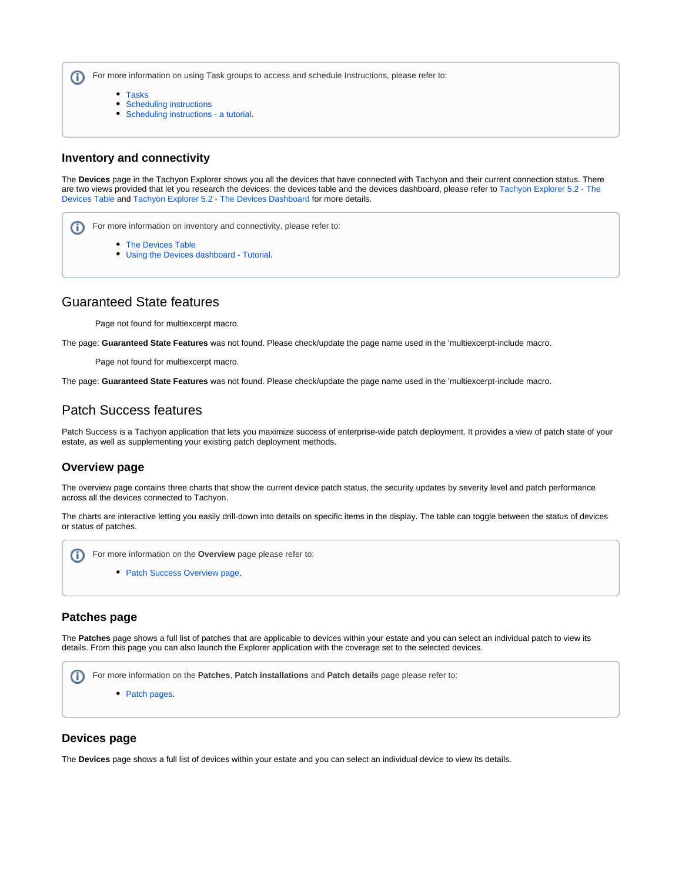For more information on using Task groups to access and schedule Instructions, please refer to: ⋒

- [Tasks](https://help.1e.com/display/XPL52/Tasks)
- [Scheduling instructions](https://help.1e.com/display/XPL52/Scheduling+instructions)
- [Scheduling instructions a tutorial.](https://help.1e.com/display/XPL52/Scheduling+instructions+-+a+tutorial)

#### **Inventory and connectivity**

The **Devices** page in the Tachyon Explorer shows you all the devices that have connected with Tachyon and their current connection status. There are two views provided that let you research the devices: the devices table and the devices dashboard, please refer to [Tachyon Explorer 5.2 - The](https://help.1e.com/display/XPL52/The+Devices+Table)  [Devices Table](https://help.1e.com/display/XPL52/The+Devices+Table) and [Tachyon Explorer 5.2 - The Devices Dashboard](https://help.1e.com/display/XPL52/The+Devices+Dashboard) for more details.

For more information on inventory and connectivity, please refer to: ന • [The Devices Table](https://help.1e.com/display/XPL52/The+Devices+Table) [Using the Devices dashboard - Tutorial.](https://help.1e.com/display/XPL52/Using+the+Devices+dashboard+-+Tutorial)

## <span id="page-2-0"></span>Guaranteed State features

Page not found for multiexcerpt macro.

The page: **Guaranteed State Features** was not found. Please check/update the page name used in the 'multiexcerpt-include macro.

Page not found for multiexcerpt macro.

The page: **Guaranteed State Features** was not found. Please check/update the page name used in the 'multiexcerpt-include macro.

# <span id="page-2-1"></span>Patch Success features

Patch Success is a Tachyon application that lets you maximize success of enterprise-wide patch deployment. It provides a view of patch state of your estate, as well as supplementing your existing patch deployment methods.

#### **Overview page**

The overview page contains three charts that show the current device patch status, the security updates by severity level and patch performance across all the devices connected to Tachyon.

The charts are interactive letting you easily drill-down into details on specific items in the display. The table can toggle between the status of devices or status of patches.



#### **Patches page**

The **Patches** page shows a full list of patches that are applicable to devices within your estate and you can select an individual patch to view its details. From this page you can also launch the Explorer application with the coverage set to the selected devices.



#### **Devices page**

ത

The **Devices** page shows a full list of devices within your estate and you can select an individual device to view its details.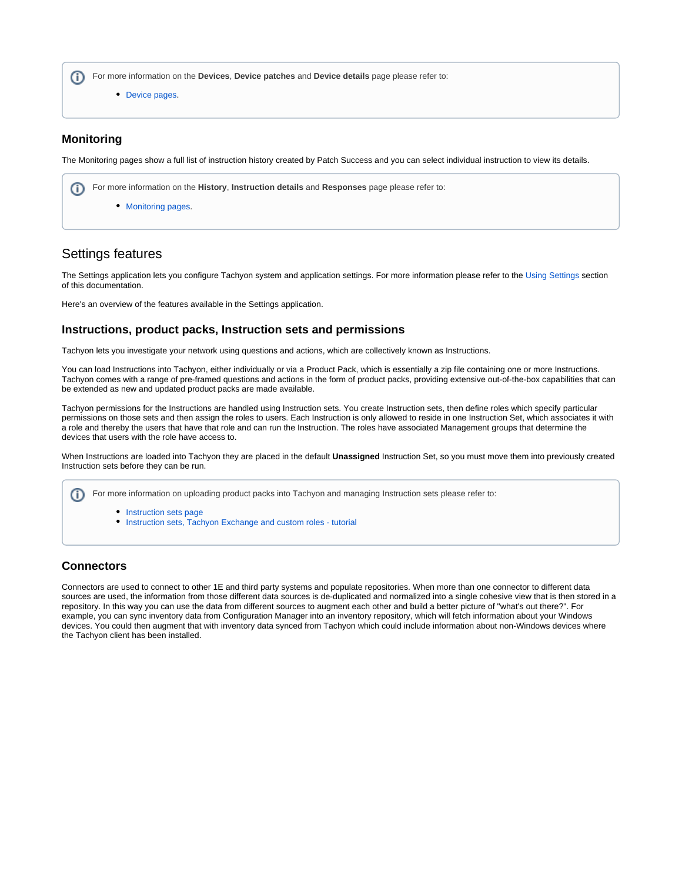For more information on the **Devices**, **Device patches** and **Device details** page please refer to: (i)

• [Device pages.](https://help.1e.com/display/PS12/Device+pages)

#### **Monitoring**

The Monitoring pages show a full list of instruction history created by Patch Success and you can select individual instruction to view its details.

For more information on the **History**, **Instruction details** and **Responses** page please refer to: (i)

• [Monitoring pages.](https://help.1e.com/display/PS12/Monitoring+pages)

# <span id="page-3-0"></span>Settings features

The Settings application lets you configure Tachyon system and application settings. For more information please refer to the [Using Settings](https://help.1e.com/display/TCN52/Using+Settings) section of this documentation.

Here's an overview of the features available in the Settings application.

#### **Instructions, product packs, Instruction sets and permissions**

Tachyon lets you investigate your network using questions and actions, which are collectively known as Instructions.

You can load Instructions into Tachyon, either individually or via a Product Pack, which is essentially a zip file containing one or more Instructions. Tachyon comes with a range of pre-framed questions and actions in the form of product packs, providing extensive out-of-the-box capabilities that can be extended as new and updated product packs are made available.

Tachyon permissions for the Instructions are handled using Instruction sets. You create Instruction sets, then define roles which specify particular permissions on those sets and then assign the roles to users. Each Instruction is only allowed to reside in one Instruction Set, which associates it with a role and thereby the users that have that role and can run the Instruction. The roles have associated Management groups that determine the devices that users with the role have access to.

When Instructions are loaded into Tachyon they are placed in the default **Unassigned** Instruction Set, so you must move them into previously created Instruction sets before they can be run.

For more information on uploading product packs into Tachyon and managing Instruction sets please refer to:

- [Instruction sets page](https://help.1e.com/display/TCN52/Instruction+sets+page)
- [Instruction sets, Tachyon Exchange and custom roles tutorial](https://help.1e.com/display/TCN52/Instruction+sets%2C+Tachyon+Exchange+and+custom+roles+-+tutorial)

#### **Connectors**

Connectors are used to connect to other 1E and third party systems and populate repositories. When more than one connector to different data sources are used, the information from those different data sources is de-duplicated and normalized into a single cohesive view that is then stored in a repository. In this way you can use the data from different sources to augment each other and build a better picture of "what's out there?". For example, you can sync inventory data from Configuration Manager into an inventory repository, which will fetch information about your Windows devices. You could then augment that with inventory data synced from Tachyon which could include information about non-Windows devices where the Tachyon client has been installed.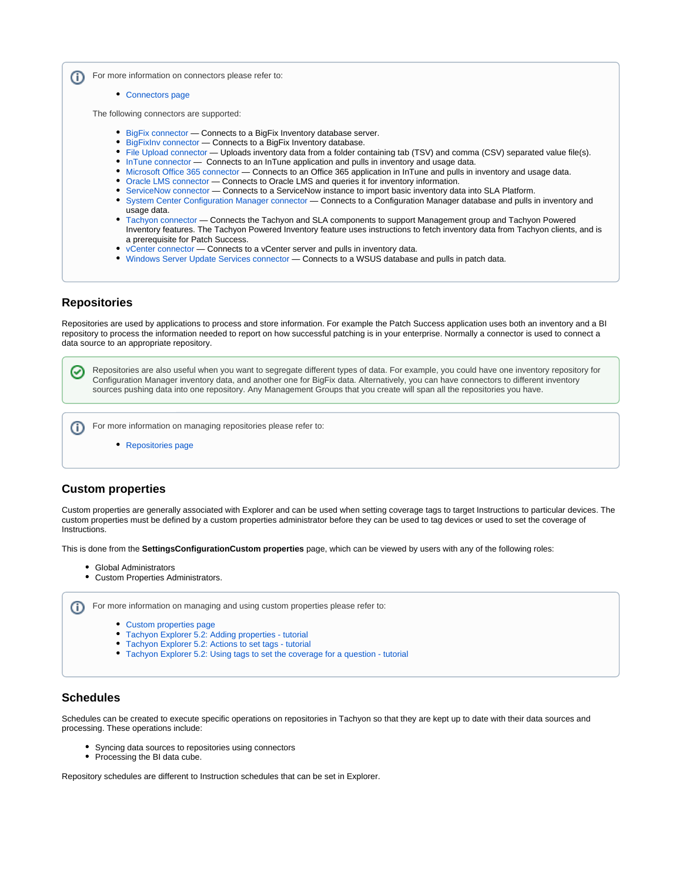For more information on connectors please refer to: (i)

• [Connectors page](https://help.1e.com/display/TCN52/Connectors+page)

The following connectors are supported:

- **[BigFix connector](https://help.1e.com/display/TCN52/BigFix+connector)** Connects to a BigFix Inventory database server.
- [BigFixInv connector](https://help.1e.com/display/TCN52/BigFixInv+connector) Connects to a BigFix Inventory database.
- [File Upload connector](https://help.1e.com/display/TCN52/File+Upload+connector) Uploads inventory data from a folder containing tab (TSV) and comma (CSV) separated value file(s).
- [InTune connector](https://help.1e.com/display/TCN52/InTune+connector)  Connects to an InTune application and pulls in inventory and usage data.
- [Microsoft Office 365 connector](https://help.1e.com/display/TCN52/Microsoft+Office+365+connector)  Connects to an Office 365 application in InTune and pulls in inventory and usage data.
- [Oracle LMS connector](https://help.1e.com/display/TCN52/Oracle+LMS+connector)  Connects to Oracle LMS and queries it for inventory information.
- [ServiceNow connector](https://help.1e.com/display/TCN52/ServiceNow+connector) Connects to a ServiceNow instance to import basic inventory data into SLA Platform.
- [System Center Configuration Manager connector](https://help.1e.com/display/TCN52/System+Center+Configuration+Manager+connector) Connects to a Configuration Manager database and pulls in inventory and usage data.
- [Tachyon connector](https://help.1e.com/display/TCN52/Tachyon+connector) Connects the Tachyon and SLA components to support Management group and Tachyon Powered Inventory features. The Tachyon Powered Inventory feature uses instructions to fetch inventory data from Tachyon clients, and is a prerequisite for Patch Success.
- [vCenter connector](https://help.1e.com/display/TCN52/vCenter+connector)  Connects to a vCenter server and pulls in inventory data.
- [Windows Server Update Services connector](https://help.1e.com/display/TCN52/Windows+Server+Update+Services+connector)  Connects to a WSUS database and pulls in patch data.

#### **Repositories**

Repositories are used by applications to process and store information. For example the Patch Success application uses both an inventory and a BI repository to process the information needed to report on how successful patching is in your enterprise. Normally a connector is used to connect a data source to an appropriate repository.



#### **Custom properties**

Custom properties are generally associated with Explorer and can be used when setting coverage tags to target Instructions to particular devices. The custom properties must be defined by a custom properties administrator before they can be used to tag devices or used to set the coverage of Instructions.

This is done from the **SettingsConfigurationCustom properties** page, which can be viewed by users with any of the following roles:

- Global Administrators
- Custom Properties Administrators.



- [Tachyon Explorer 5.2: Adding properties tutorial](https://help.1e.com/display/XPL52/Adding+properties+-+tutorial)
- [Tachyon Explorer 5.2: Actions to set tags tutorial](https://help.1e.com/display/XPL52/Actions+to+set+tags+-+tutorial)
- [Tachyon Explorer 5.2: Using tags to set the coverage for a question tutorial](https://help.1e.com/display/XPL52/Using+tags+to+set+the+coverage+for+a+question+-+tutorial)

#### **Schedules**

Schedules can be created to execute specific operations on repositories in Tachyon so that they are kept up to date with their data sources and processing. These operations include:

- Syncing data sources to repositories using connectors
- Processing the BI data cube.

Repository schedules are different to Instruction schedules that can be set in Explorer.

ന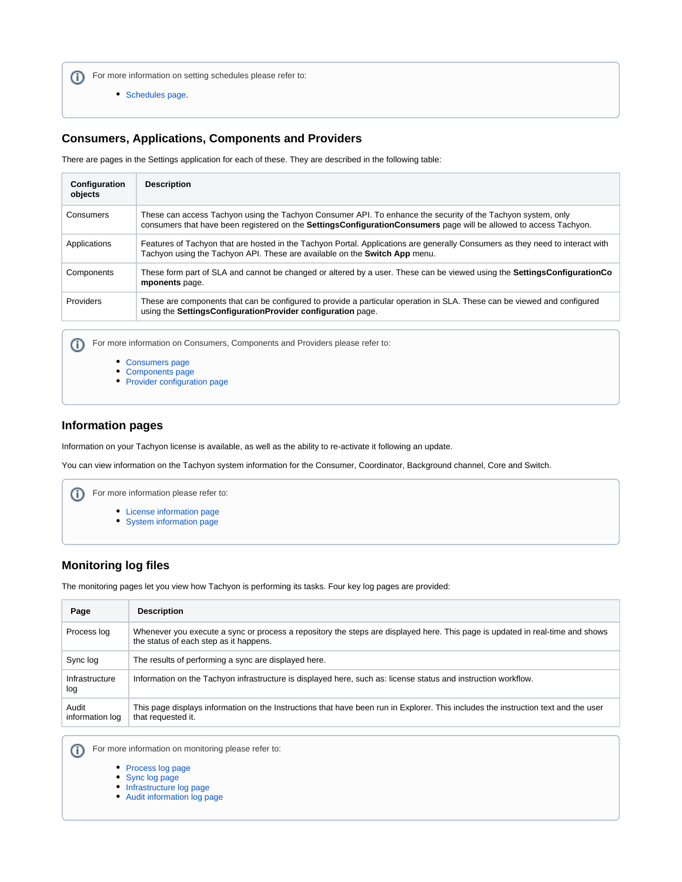For more information on setting schedules please refer to:

[Schedules page](https://help.1e.com/display/TCN52/Schedules+page).

## **Consumers, Applications, Components and Providers**

There are pages in the Settings application for each of these. They are described in the following table:

| Configuration<br>objects | <b>Description</b>                                                                                                                                                                                                                       |
|--------------------------|------------------------------------------------------------------------------------------------------------------------------------------------------------------------------------------------------------------------------------------|
| Consumers                | These can access Tachyon using the Tachyon Consumer API. To enhance the security of the Tachyon system, only<br>consumers that have been registered on the <b>SettingsConfigurationConsumers</b> page will be allowed to access Tachyon. |
| Applications             | Features of Tachyon that are hosted in the Tachyon Portal. Applications are generally Consumers as they need to interact with<br>Tachyon using the Tachyon API. These are available on the Switch App menu.                              |
| Components               | These form part of SLA and cannot be changed or altered by a user. These can be viewed using the SettingsConfigurationCo<br>mponents page.                                                                                               |
| Providers                | These are components that can be configured to provide a particular operation in SLA. These can be viewed and configured<br>using the SettingsConfigurationProvider configuration page.                                                  |

For more information on Consumers, Components and Providers please refer to:  $\odot$ 

- [Consumers page](https://help.1e.com/display/TCN52/Consumers+page)
- [Components page](https://help.1e.com/display/TCN52/Components+page)
- [Provider configuration page](https://help.1e.com/display/TCN52/Provider+configuration+page)

#### **Information pages**

Information on your Tachyon license is available, as well as the ability to re-activate it following an update.

You can view information on the Tachyon system information for the Consumer, Coordinator, Background channel, Core and Switch.



## **Monitoring log files**

The monitoring pages let you view how Tachyon is performing its tasks. Four key log pages are provided:

| Page                     | <b>Description</b>                                                                                                                                                      |
|--------------------------|-------------------------------------------------------------------------------------------------------------------------------------------------------------------------|
| Process log              | Whenever you execute a sync or process a repository the steps are displayed here. This page is updated in real-time and shows<br>the status of each step as it happens. |
| Sync log                 | The results of performing a sync are displayed here.                                                                                                                    |
| Infrastructure<br>log    | Information on the Tachyon infrastructure is displayed here, such as: license status and instruction workflow.                                                          |
| Audit<br>information log | This page displays information on the Instructions that have been run in Explorer. This includes the instruction text and the user<br>that requested it.                |

For more information on monitoring please refer to:  $\odot$ 

- [Process log page](https://help.1e.com/display/TCN52/Process+log+page)
- [Sync log page](https://help.1e.com/display/TCN52/Sync+log+page)
- [Infrastructure log page](https://help.1e.com/display/TCN52/Infrastructure+log+page)
- [Audit information log page](https://help.1e.com/display/TCN52/Audit+information+log+page)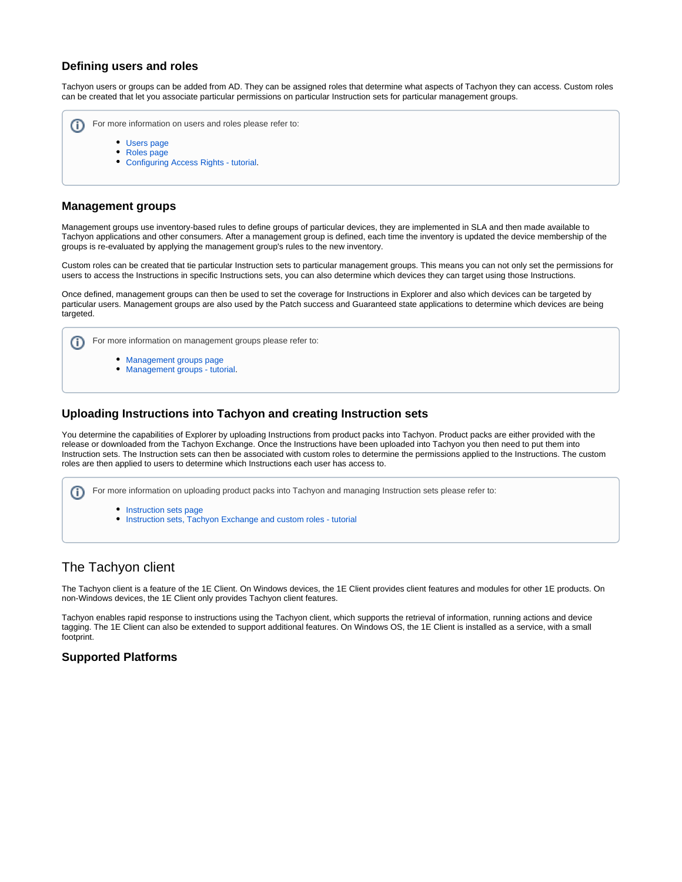### **Defining users and roles**

Tachyon users or groups can be added from AD. They can be assigned roles that determine what aspects of Tachyon they can access. Custom roles can be created that let you associate particular permissions on particular Instruction sets for particular management groups.

- For more information on users and roles please refer to: (i) [Users page](https://help.1e.com/display/TCN52/Users+page)
	- [Roles page](https://help.1e.com/display/TCN52/Roles+page)
	- [Configuring Access Rights tutorial](https://help.1e.com/display/TCN52/Configuring+Access+Rights+-+tutorial).

## **Management groups**

Management groups use inventory-based rules to define groups of particular devices, they are implemented in SLA and then made available to Tachyon applications and other consumers. After a management group is defined, each time the inventory is updated the device membership of the groups is re-evaluated by applying the management group's rules to the new inventory.

Custom roles can be created that tie particular Instruction sets to particular management groups. This means you can not only set the permissions for users to access the Instructions in specific Instructions sets, you can also determine which devices they can target using those Instructions.

Once defined, management groups can then be used to set the coverage for Instructions in Explorer and also which devices can be targeted by particular users. Management groups are also used by the Patch success and Guaranteed state applications to determine which devices are being targeted.



## **Uploading Instructions into Tachyon and creating Instruction sets**

You determine the capabilities of Explorer by uploading Instructions from product packs into Tachyon. Product packs are either provided with the release or downloaded from the Tachyon Exchange. Once the Instructions have been uploaded into Tachyon you then need to put them into Instruction sets. The Instruction sets can then be associated with custom roles to determine the permissions applied to the Instructions. The custom roles are then applied to users to determine which Instructions each user has access to.

For more information on uploading product packs into Tachyon and managing Instruction sets please refer to: G)

- [Instruction sets page](https://help.1e.com/display/TCN52/Instruction+sets+page)
- **[Instruction sets, Tachyon Exchange and custom roles tutorial](https://help.1e.com/display/TCN52/Instruction+sets%2C+Tachyon+Exchange+and+custom+roles+-+tutorial)**

# <span id="page-6-0"></span>The Tachyon client

The Tachyon client is a feature of the 1E Client. On Windows devices, the 1E Client provides client features and modules for other 1E products. On non-Windows devices, the 1E Client only provides Tachyon client features.

Tachyon enables rapid response to instructions using the Tachyon client, which supports the retrieval of information, running actions and device tagging. The 1E Client can also be extended to support additional features. On Windows OS, the 1E Client is installed as a service, with a small footprint.

## **Supported Platforms**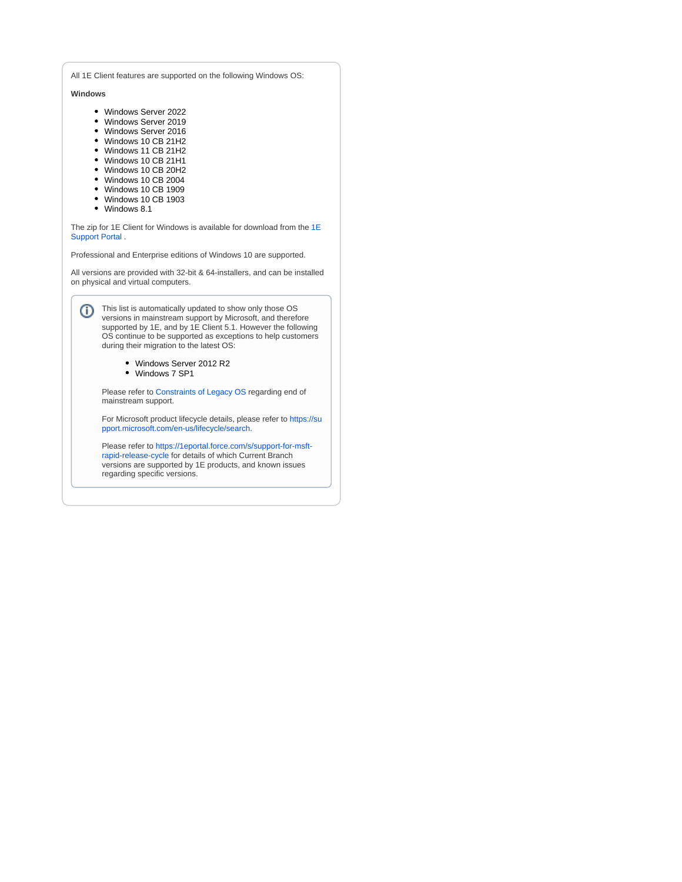All 1E Client features are supported on the following Windows OS:

**Windows**

- Windows Server 2022
- Windows Server 2019
- Windows Server 2016
- Windows 10 CB 21H2
- Windows 11 CB 21H2
- Windows 10 CB 21H1
- Windows 10 CB 20H2
- Windows 10 CB 2004
- Windows 10 CB 1909
- Windows 10 CB 1903
- Windows 8.1

The zip for 1E Client for Windows is available for download from the [1E](https://1eportal.force.com/s/tachyontopicdetail)  [Support Portal](https://1eportal.force.com/s/tachyontopicdetail) .

Professional and Enterprise editions of Windows 10 are supported.

All versions are provided with 32-bit & 64-installers, and can be installed on physical and virtual computers.

This list is automatically updated to show only those OS versions in mainstream support by Microsoft, and therefore supported by 1E, and by 1E Client 5.1. However the following OS continue to be supported as exceptions to help customers during their migration to the latest OS:

- Windows Server 2012 R2
- Windows 7 SP1

Please refer to Constraints of Legacy OS regarding end of mainstream support.

For Microsoft product lifecycle details, please refer to [https://su](https://support.microsoft.com/en-us/lifecycle/search) [pport.microsoft.com/en-us/lifecycle/search.](https://support.microsoft.com/en-us/lifecycle/search)

Please refer to [https://1eportal.force.com/s/support-for-msft](https://1eportal.force.com/s/support-for-msft-rapid-release-cycle)[rapid-release-cycle](https://1eportal.force.com/s/support-for-msft-rapid-release-cycle) for details of which Current Branch versions are supported by 1E products, and known issues regarding specific versions.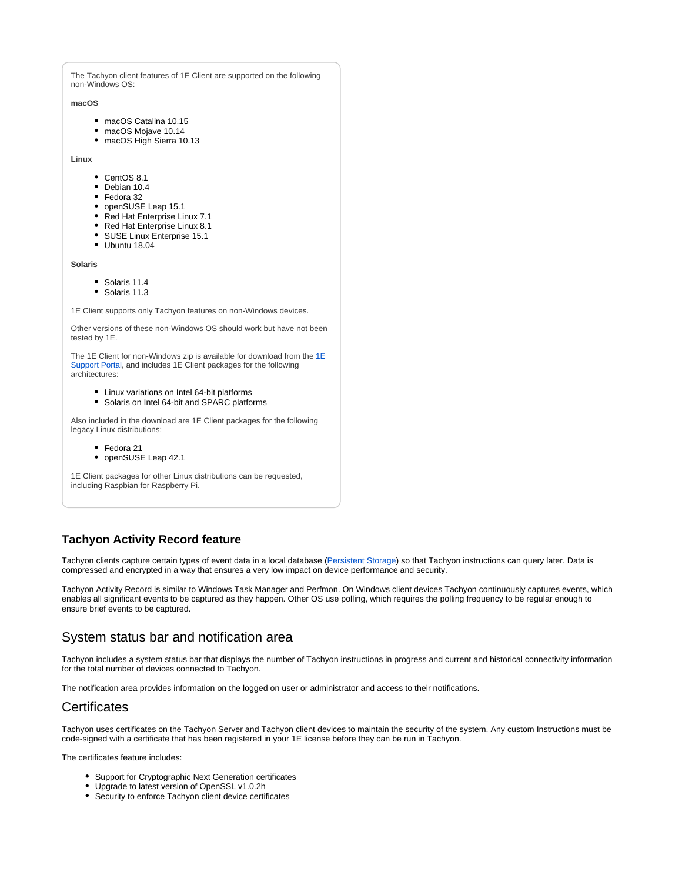The Tachyon client features of 1E Client are supported on the following non-Windows OS:

#### **macOS**

- macOS Catalina 10.15
- macOS Mojave 10.14
- macOS High Sierra 10.13

**Linux**

- CentOS 8.1
- Debian 10.4
- Fedora 32
- openSUSE Leap 15.1
- Red Hat Enterprise Linux 7.1
- Red Hat Enterprise Linux 8.1
- SUSE Linux Enterprise 15.1
- Ubuntu 18.04

**Solaris**

- Solaris 11.4
- Solaris 11.3

1E Client supports only Tachyon features on non-Windows devices.

Other versions of these non-Windows OS should work but have not been tested by 1E.

The [1E](https://1eportal.force.com/s/tachyontopicdetail) Client for non-Windows zip is available for download from the 1E [Support Portal](https://1eportal.force.com/s/tachyontopicdetail), and includes 1E Client packages for the following architectures:

- Linux variations on Intel 64-bit platforms
- Solaris on Intel 64-bit and SPARC platforms

Also included in the download are 1E Client packages for the following legacy Linux distributions:

- Fedora 21
- openSUSE Leap 42.1

1E Client packages for other Linux distributions can be requested, including Raspbian for Raspberry Pi.

## **Tachyon Activity Record feature**

Tachyon clients capture certain types of event data in a local database ([Persistent Storage\)](https://help.1e.com/display/XPL52/Glossary#Glossary-PersistentStorage) so that Tachyon instructions can query later. Data is compressed and encrypted in a way that ensures a very low impact on device performance and security.

Tachyon Activity Record is similar to Windows Task Manager and Perfmon. On Windows client devices Tachyon continuously captures events, which enables all significant events to be captured as they happen. Other OS use polling, which requires the polling frequency to be regular enough to ensure brief events to be captured.

## <span id="page-8-0"></span>System status bar and notification area

Tachyon includes a system status bar that displays the number of Tachyon instructions in progress and current and historical connectivity information for the total number of devices connected to Tachyon.

The notification area provides information on the logged on user or administrator and access to their notifications.

## <span id="page-8-1"></span>**Certificates**

Tachyon uses certificates on the Tachyon Server and Tachyon client devices to maintain the security of the system. Any custom Instructions must be code-signed with a certificate that has been registered in your 1E license before they can be run in Tachyon.

The certificates feature includes:

- Support for Cryptographic Next Generation certificates
- Upgrade to latest version of OpenSSL v1.0.2h
- <span id="page-8-2"></span>Security to enforce Tachyon client device certificates